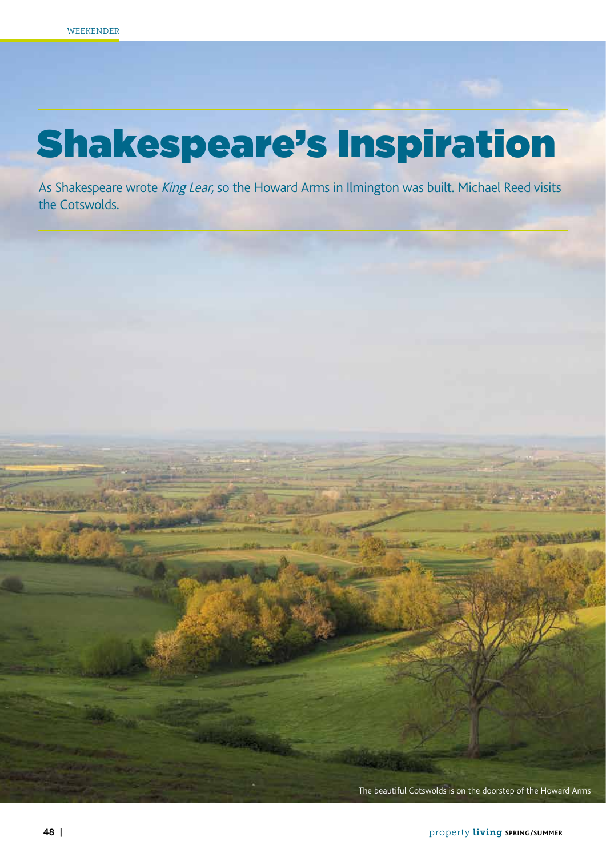## Shakespeare's Inspiration

As Shakespeare wrote King Lear, so the Howard Arms in Ilmington was built. Michael Reed visits the Cotswolds.

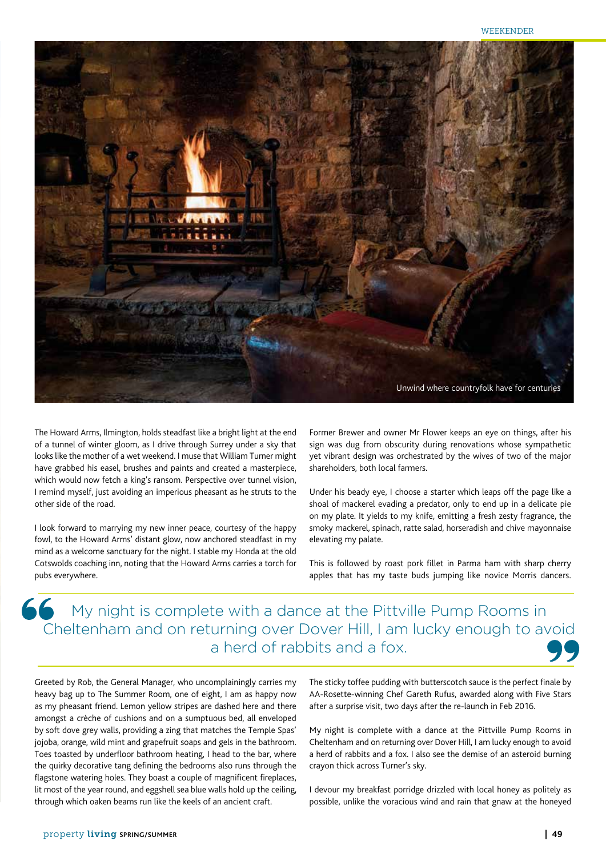

The Howard Arms, Ilmington, holds steadfast like a bright light at the end of a tunnel of winter gloom, as I drive through Surrey under a sky that looks like the mother of a wet weekend. I muse that William Turner might have grabbed his easel, brushes and paints and created a masterpiece, which would now fetch a king's ransom. Perspective over tunnel vision, I remind myself, just avoiding an imperious pheasant as he struts to the other side of the road.

I look forward to marrying my new inner peace, courtesy of the happy fowl, to the Howard Arms' distant glow, now anchored steadfast in my mind as a welcome sanctuary for the night. I stable my Honda at the old Cotswolds coaching inn, noting that the Howard Arms carries a torch for pubs everywhere.

Former Brewer and owner Mr Flower keeps an eye on things, after his sign was dug from obscurity during renovations whose sympathetic yet vibrant design was orchestrated by the wives of two of the major shareholders, both local farmers.

Under his beady eye, I choose a starter which leaps off the page like a shoal of mackerel evading a predator, only to end up in a delicate pie on my plate. It yields to my knife, emitting a fresh zesty fragrance, the smoky mackerel, spinach, ratte salad, horseradish and chive mayonnaise elevating my palate.

This is followed by roast pork fillet in Parma ham with sharp cherry apples that has my taste buds jumping like novice Morris dancers.

## A My night is complete with a dance at the Pittville Pump Rooms in Cheltenham and on returning over Dover Hill, I am lucky enough to avoid a herd of rabbits and a fox.

Greeted by Rob, the General Manager, who uncomplainingly carries my heavy bag up to The Summer Room, one of eight, I am as happy now as my pheasant friend. Lemon yellow stripes are dashed here and there amongst a crèche of cushions and on a sumptuous bed, all enveloped by soft dove grey walls, providing a zing that matches the Temple Spas' jojoba, orange, wild mint and grapefruit soaps and gels in the bathroom. Toes toasted by underfloor bathroom heating, I head to the bar, where the quirky decorative tang defining the bedrooms also runs through the flagstone watering holes. They boast a couple of magnificent fireplaces, lit most of the year round, and eggshell sea blue walls hold up the ceiling, through which oaken beams run like the keels of an ancient craft.

The sticky toffee pudding with butterscotch sauce is the perfect finale by AA-Rosette-winning Chef Gareth Rufus, awarded along with Five Stars after a surprise visit, two days after the re-launch in Feb 2016.

My night is complete with a dance at the Pittville Pump Rooms in Cheltenham and on returning over Dover Hill, I am lucky enough to avoid a herd of rabbits and a fox. I also see the demise of an asteroid burning crayon thick across Turner's sky.

I devour my breakfast porridge drizzled with local honey as politely as possible, unlike the voracious wind and rain that gnaw at the honeyed